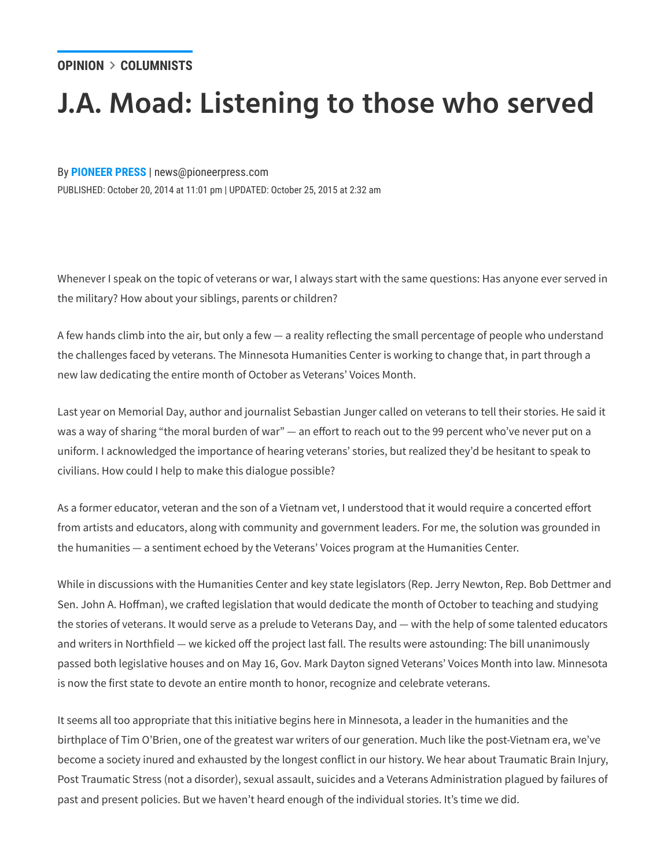## **OPINIONCOLUMNISTS**

## **J.A. Moad: Listening to those who served**

## By **PIONEER PRESS** | news@pioneerpress.com PUBLISHED: October 20, 2014 at 11:01 pm | UPDATED: October 25, 2015 at 2:32 am

Whenever I speak on the topic of veterans or war, I always start with the same questions: Has anyone ever served in

the military? How about your siblings, parents or children?

A few hands climb into the air, but only a few — a reality reflecting the small percentage of people who understand the challenges faced by veterans. The Minnesota Humanities Center is working to change that, in part through a new law dedicating the entire month of October as Veterans' Voices Month.

Last year on Memorial Day, author and journalist Sebastian Junger called on veterans to tell their stories. He said it was a way of sharing "the moral burden of war" — an effort to reach out to the 99 percent who've never put on a uniform. I acknowledged the importance of hearing veterans' stories, but realized they'd be hesitant to speak to civilians. How could I help to make this dialogue possible?

As a former educator, veteran and the son of a Vietnam vet, I understood that it would require a concerted effort from artists and educators, along with community and government leaders. For me, the solution was grounded in the humanities — a sentiment echoed by the Veterans' Voices program at the Humanities Center.

While in discussions with the Humanities Center and key state legislators (Rep. Jerry Newton, Rep. Bob Dettmer and Sen. John A. Hoffman), we crafted legislation that would dedicate the month of October to teaching and studying the stories of veterans. It would serve as a prelude to Veterans Day, and — with the help of some talented educators and writers in Northfield — we kicked off the project last fall. The results were astounding: The bill unanimously passed both legislative houses and on May 16, Gov. Mark Dayton signed Veterans' Voices Month into law. Minnesota is now the first state to devote an entire month to honor, recognize and celebrate veterans.

It seems all too appropriate that this initiative begins here in Minnesota, a leader in the humanities and the birthplace of Tim O'Brien, one of the greatest war writers of our generation. Much like the post-Vietnam era, we've become a society inured and exhausted by the longest conflict in our history. We hear about Traumatic Brain Injury, Post Traumatic Stress (not a disorder), sexual assault, suicides and a Veterans Administration plagued by failures of past and present policies. But we haven't heard enough of the individual stories. It's time we did.